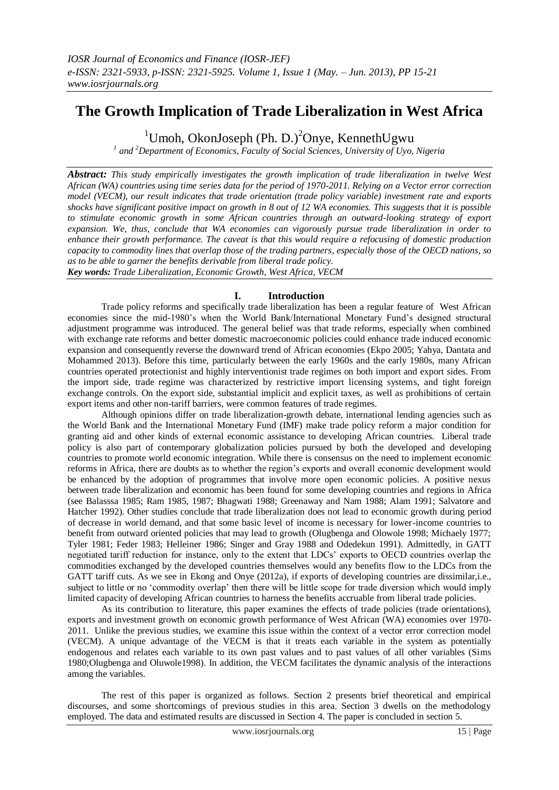# **The Growth Implication of Trade Liberalization in West Africa**

<sup>1</sup>Umoh, OkonJoseph (Ph. D.)<sup>2</sup>Onye, KennethUgwu

*1 and <sup>2</sup>Department of Economics, Faculty of Social Sciences, University of Uyo, Nigeria*

*Abstract: This study empirically investigates the growth implication of trade liberalization in twelve West African (WA) countries using time series data for the period of 1970-2011. Relying on a Vector error correction model (VECM), our result indicates that trade orientation (trade policy variable) investment rate and exports shocks have significant positive impact on growth in 8 out of 12 WA economies. This suggests that it is possible to stimulate economic growth in some African countries through an outward-looking strategy of export expansion. We, thus, conclude that WA economies can vigorously pursue trade liberalization in order to enhance their growth performance. The caveat is that this would require a refocusing of domestic production capacity to commodity lines that overlap those of the trading partners, especially those of the OECD nations, so as to be able to garner the benefits derivable from liberal trade policy. Key words: Trade Liberalization, Economic Growth, West Africa, VECM*

**I. Introduction**

Trade policy reforms and specifically trade liberalization has been a regular feature of West African economies since the mid-1980's when the World Bank/International Monetary Fund's designed structural adjustment programme was introduced. The general belief was that trade reforms, especially when combined with exchange rate reforms and better domestic macroeconomic policies could enhance trade induced economic expansion and consequently reverse the downward trend of African economies (Ekpo 2005; Yahya, Dantata and Mohammed 2013). Before this time, particularly between the early 1960s and the early 1980s, many African countries operated protectionist and highly interventionist trade regimes on both import and export sides. From the import side, trade regime was characterized by restrictive import licensing systems, and tight foreign exchange controls. On the export side, substantial implicit and explicit taxes, as well as prohibitions of certain export items and other non-tariff barriers, were common features of trade regimes.

Although opinions differ on trade liberalization-growth debate, international lending agencies such as the World Bank and the International Monetary Fund (IMF) make trade policy reform a major condition for granting aid and other kinds of external economic assistance to developing African countries. Liberal trade policy is also part of contemporary globalization policies pursued by both the developed and developing countries to promote world economic integration. While there is consensus on the need to implement economic reforms in Africa, there are doubts as to whether the region's exports and overall economic development would be enhanced by the adoption of programmes that involve more open economic policies. A positive nexus between trade liberalization and economic has been found for some developing countries and regions in Africa (see Balasssa 1985; Ram 1985, 1987; Bhagwati 1988; Greenaway and Nam 1988; Alam 1991; Salvatore and Hatcher 1992). Other studies conclude that trade liberalization does not lead to economic growth during period of decrease in world demand, and that some basic level of income is necessary for lower-income countries to benefit from outward oriented policies that may lead to growth (Olugbenga and Olowole 1998; Michaely 1977; Tyler 1981; Feder 1983; Helleiner 1986; Singer and Gray 1988 and Odedekun 1991). Admittedly, in GATT negotiated tariff reduction for instance, only to the extent that LDCs' exports to OECD countries overlap the commodities exchanged by the developed countries themselves would any benefits flow to the LDCs from the GATT tariff cuts. As we see in Ekong and Onye (2012a), if exports of developing countries are dissimilar,i.e., subject to little or no 'commodity overlap' then there will be little scope for trade diversion which would imply limited capacity of developing African countries to harness the benefits accruable from liberal trade policies.

As its contribution to literature, this paper examines the effects of trade policies (trade orientations), exports and investment growth on economic growth performance of West African (WA) economies over 1970- 2011. Unlike the previous studies, we examine this issue within the context of a vector error correction model (VECM). A unique advantage of the VECM is that it treats each variable in the system as potentially endogenous and relates each variable to its own past values and to past values of all other variables (Sims 1980;Olugbenga and Oluwole1998). In addition, the VECM facilitates the dynamic analysis of the interactions among the variables.

The rest of this paper is organized as follows. Section 2 presents brief theoretical and empirical discourses, and some shortcomings of previous studies in this area. Section 3 dwells on the methodology employed. The data and estimated results are discussed in Section 4. The paper is concluded in section 5.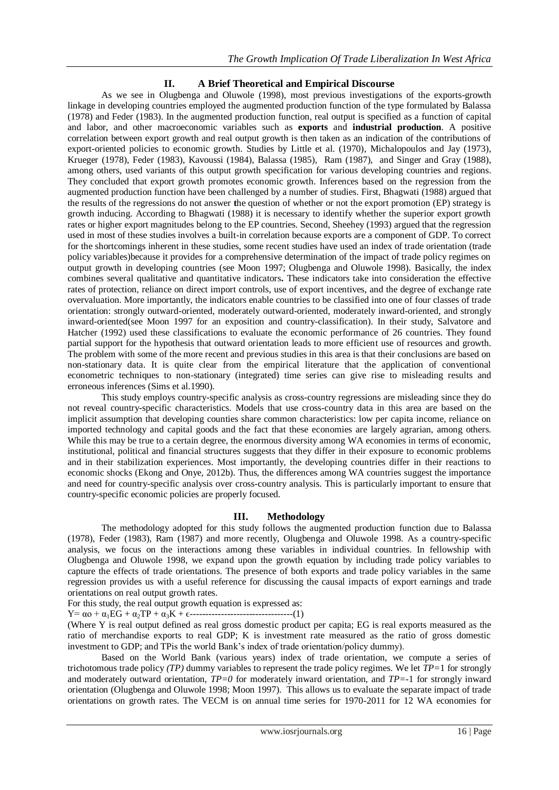## **II. A Brief Theoretical and Empirical Discourse**

As we see in Olugbenga and Oluwole (1998), most previous investigations of the exports-growth linkage in developing countries employed the augmented production function of the type formulated by Balassa (1978) and Feder (1983). In the augmented production function, real output is specified as a function of capital and labor, and other macroeconomic variables such as **exports** and **industrial production**. A positive correlation between export growth and real output growth is then taken as an indication of the contributions of export-oriented policies to economic growth. Studies by Little et al. (1970), Michalopoulos and Jay (1973), Krueger (1978), Feder (1983), Kavoussi (1984), Balassa (1985), Ram (1987), and Singer and Gray (1988), among others, used variants of this output growth specification for various developing countries and regions. They concluded that export growth promotes economic growth. Inferences based on the regression from the augmented production function have been challenged by a number of studies. First, Bhagwati (1988) argued that the results of the regressions do not answer **t**he question of whether or not the export promotion (EP) strategy is growth inducing. According to Bhagwati (1988) it is necessary to identify whether the superior export growth rates or higher export magnitudes belong to the EP countries. Second, Sheehey (1993) argued that the regression used in most of these studies involves a built-in correlation because exports are a component of GDP. To correct for the shortcomings inherent in these studies, some recent studies have used an index of trade orientation (trade policy variables)because it provides for a comprehensive determination of the impact of trade policy regimes on output growth in developing countries (see Moon 1997; Olugbenga and Oluwole 1998). Basically, the index combines several qualitative and quantitative indicators**.** These indicators take into consideration the effective rates of protection, reliance on direct import controls, use of export incentives, and the degree of exchange rate overvaluation. More importantly, the indicators enable countries to be classified into one of four classes of trade orientation: strongly outward-oriented, moderately outward-oriented, moderately inward-oriented, and strongly inward-oriented(see Moon 1997 for an exposition and country-classification). In their study, Salvatore and Hatcher (1992) used these classifications to evaluate the economic performance of 26 countries. They found partial support for the hypothesis that outward orientation leads to more efficient use of resources and growth. The problem with some of the more recent and previous studies in this area is that their conclusions are based on non-stationary data. It is quite clear from the empirical literature that the application of conventional econometric techniques to non-stationary (integrated) time series can give rise to misleading results and erroneous inferences (Sims et al.1990).

This study employs country-specific analysis as cross-country regressions are misleading since they do not reveal country-specific characteristics. Models that use cross-country data in this area are based on the implicit assumption that developing counties share common characteristics: low per capita income, reliance on imported technology and capital goods and the fact that these economies are largely agrarian, among others. While this may be true to a certain degree, the enormous diversity among WA economies in terms of economic, institutional, political and financial structures suggests that they differ in their exposure to economic problems and in their stabilization experiences. Most importantly, the developing countries differ in their reactions to economic shocks (Ekong and Onye, 2012b). Thus, the differences among WA countries suggest the importance and need for country-specific analysis over cross-country analysis. This is particularly important to ensure that country-specific economic policies are properly focused.

## **III. Methodology**

The methodology adopted for this study follows the augmented production function due to Balassa (1978), Feder (1983), Ram (1987) and more recently, Olugbenga and Oluwole 1998. As a country-specific analysis, we focus on the interactions among these variables in individual countries. In fellowship with Olugbenga and Oluwole 1998, we expand upon the growth equation by including trade policy variables to capture the effects of trade orientations. The presence of both exports and trade policy variables in the same regression provides us with a useful reference for discussing the causal impacts of export earnings and trade orientations on real output growth rates.

For this study, the real output growth equation is expressed as:

Y= αo + α1EG + α2TP + α3K + ϵ---------------------------------(1)

(Where Y is real output defined as real gross domestic product per capita; EG is real exports measured as the ratio of merchandise exports to real GDP; K is investment rate measured as the ratio of gross domestic investment to GDP; and TPis the world Bank's index of trade orientation/policy dummy).

Based on the World Bank (various years) index of trade orientation, we compute a series of trichotomous trade policy *(TP)* dummy variables to represent the trade policy regimes. We let *TP=*1 for strongly and moderately outward orientation, *TP=0* for moderately inward orientation, and *TP=-*1 for strongly inward orientation (Olugbenga and Oluwole 1998; Moon 1997). This allows us to evaluate the separate impact of trade orientations on growth rates. The VECM is on annual time series for 1970-2011 for 12 WA economies for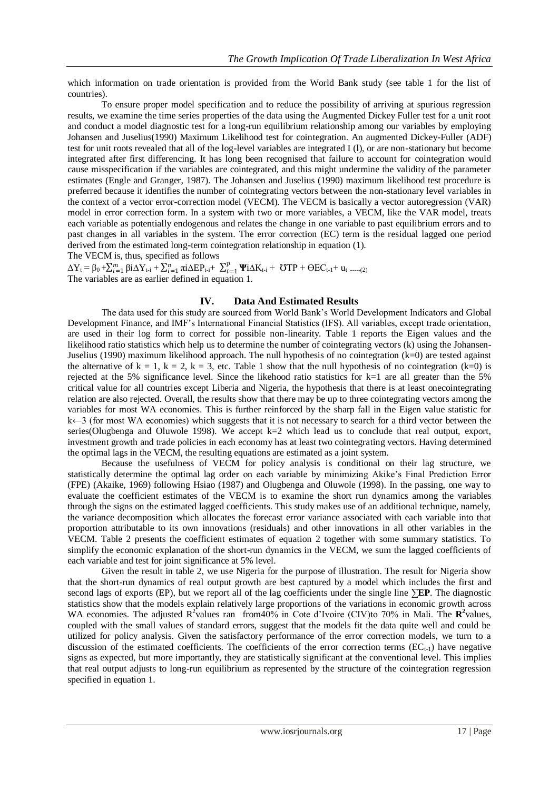which information on trade orientation is provided from the World Bank study (see table 1 for the list of countries).

To ensure proper model specification and to reduce the possibility of arriving at spurious regression results, we examine the time series properties of the data using the Augmented Dickey Fuller test for a unit root and conduct a model diagnostic test for a long-run equilibrium relationship among our variables by employing Johansen and Juselius(1990) Maximum Likelihood test for cointegration. An augmented Dickey-Fuller (ADF) test for unit roots revealed that all of the log-level variables are integrated I (l), or are non-stationary but become integrated after first differencing. It has long been recognised that failure to account for cointegration would cause misspecification if the variables are cointegrated, and this might undermine the validity of the parameter estimates (Engle and Granger, 1987). The Johansen and Juselius (1990) maximum likelihood test procedure is preferred because it identifies the number of cointegrating vectors between the non-stationary level variables in the context of a vector error-correction model (VECM). The VECM is basically a vector autoregression (VAR) model in error correction form. In a system with two or more variables, a VECM, like the VAR model, treats each variable as potentially endogenous and relates the change in one variable to past equilibrium errors and to past changes in all variables in the system. The error correction (EC) term is the residual lagged one period derived from the estimated long-term cointegration relationship in equation (1).

The VECM is, thus, specified as follows

 $\Delta Y_t = \beta_0 + \sum_{i=1}^m \beta i \Delta Y_{t-i} + \sum_{i=1}^n \pi i \Delta E P_{t-i} + \sum_{i=1}^p \Psi i$  $_{i=1}^{p}$  **Ψ**iΔ**K**<sub>t-i</sub> + **℧**TP +  $\Theta$ EC<sub>t-1</sub>+ **u**<sub>t</sub> -----(2) The variables are as earlier defined in equation 1.

#### **IV. Data And Estimated Results**

The data used for this study are sourced from World Bank's World Development Indicators and Global Development Finance, and IMF's International Financial Statistics (IFS). All variables, except trade orientation, are used in their log form to correct for possible non-linearity. Table 1 reports the Eigen values and the likelihood ratio statistics which help us to determine the number of cointegrating vectors (k) using the Johansen-Juselius (1990) maximum likelihood approach. The null hypothesis of no cointegration (k=0) are tested against the alternative of  $k = 1$ ,  $k = 2$ ,  $k = 3$ , etc. Table 1 show that the null hypothesis of no cointegration (k=0) is rejected at the 5% significance level. Since the likehood ratio statistics for  $k=1$  are all greater than the 5% critical value for all countries except Liberia and Nigeria, the hypothesis that there is at least onecointegrating relation are also rejected. Overall, the results show that there may be up to three cointegrating vectors among the variables for most WA economies. This is further reinforced by the sharp fall in the Eigen value statistic for k←3 (for most WA economies) which suggests that it is not necessary to search for a third vector between the series(Olugbenga and Oluwole 1998). We accept  $k=2$  which lead us to conclude that real output, export, investment growth and trade policies in each economy has at least two cointegrating vectors. Having determined the optimal lags in the VECM, the resulting equations are estimated as a joint system.

Because the usefulness of VECM for policy analysis is conditional on their lag structure, we statistically determine the optimal lag order on each variable by minimizing Akike's Final Prediction Error (FPE) (Akaike, 1969) following Hsiao (1987) and Olugbenga and Oluwole (1998). In the passing, one way to evaluate the coefficient estimates of the VECM is to examine the short run dynamics among the variables through the signs on the estimated lagged coefficients. This study makes use of an additional technique, namely, the variance decomposition which allocates the forecast error variance associated with each variable into that proportion attributable to its own innovations (residuals) and other innovations in all other variables in the VECM. Table 2 presents the coefficient estimates of equation 2 together with some summary statistics. To simplify the economic explanation of the short-run dynamics in the VECM, we sum the lagged coefficients of each variable and test for joint significance at 5% level.

Given the result in table 2, we use Nigeria for the purpose of illustration. The result for Nigeria show that the short-run dynamics of real output growth are best captured by a model which includes the first and second lags of exports (EP), but we report all of the lag coefficients under the single line **∑EP**. The diagnostic statistics show that the models explain relatively large proportions of the variations in economic growth across WA economies. The adjusted  $\mathbb{R}^2$  values ran from 40% in Cote d'Ivoire (CIV)to 70% in Mali. The  $\mathbb{R}^2$  values, coupled with the small values of standard errors, suggest that the models fit the data quite well and could be utilized for policy analysis. Given the satisfactory performance of the error correction models, we turn to a discussion of the estimated coefficients. The coefficients of the error correction terms  $(EC_{t-1})$  have negative signs as expected, but more importantly, they are statistically significant at the conventional level. This implies that real output adjusts to long-run equilibrium as represented by the structure of the cointegration regression specified in equation 1.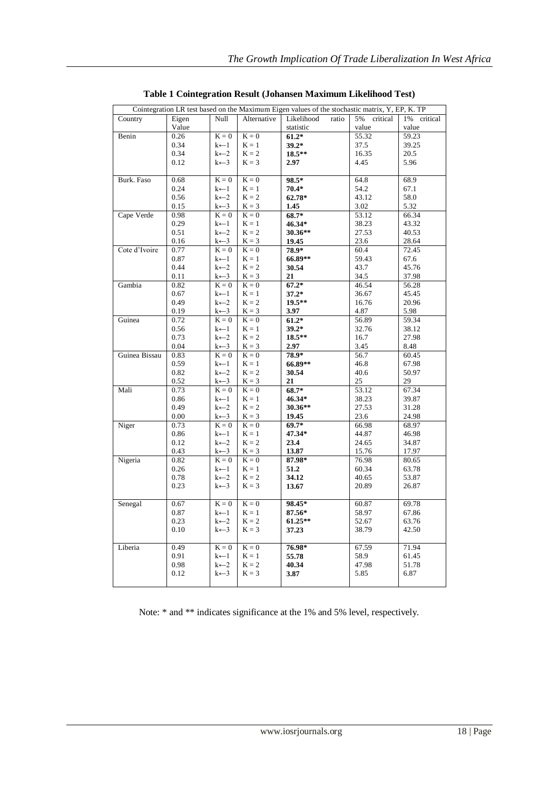| Cointegration LR test based on the Maximum Eigen values of the stochastic matrix, Y, EP, K. TP |       |                    |             |                     |                |                |  |  |
|------------------------------------------------------------------------------------------------|-------|--------------------|-------------|---------------------|----------------|----------------|--|--|
| Country                                                                                        | Eigen | Null               | Alternative | Likelihood<br>ratio | 5%<br>critical | 1%<br>critical |  |  |
|                                                                                                | Value |                    |             | statistic           | value          | value          |  |  |
| Benin                                                                                          | 0.26  | $K = 0$            | $K = 0$     | $61.2*$             | 55.32          | 59.23          |  |  |
|                                                                                                | 0.34  | $k$ $-1$           | $K = 1$     | $39.2*$             | 37.5           | 39.25          |  |  |
|                                                                                                | 0.34  | $k$ $\leftarrow$ 2 | $K = 2$     | 18.5**              | 16.35          | 20.5           |  |  |
|                                                                                                | 0.12  | $k \leftarrow 3$   | $K = 3$     | 2.97                | 4.45           | 5.96           |  |  |
|                                                                                                |       |                    |             |                     |                |                |  |  |
| Burk. Faso                                                                                     | 0.68  | $K = 0$            | $K = 0$     | 98.5*               | 64.8           | 68.9           |  |  |
|                                                                                                | 0.24  | $k$ $\leftarrow$ 1 | $K = 1$     | $70.4*$             | 54.2           | 67.1           |  |  |
|                                                                                                | 0.56  | $k$ $\leftarrow$ 2 | $K = 2$     | 62.78*              | 43.12          | 58.0           |  |  |
|                                                                                                | 0.15  | $k \leftarrow 3$   | $K = 3$     | 1.45                | 3.02           | 5.32           |  |  |
| Cape Verde                                                                                     | 0.98  | $K = 0$            | $K = 0$     | 68.7*               | 53.12          | 66.34          |  |  |
|                                                                                                | 0.29  | $k$ $\leftarrow$ 1 | $K = 1$     | 46.34*              | 38.23          | 43.32          |  |  |
|                                                                                                | 0.51  | $k$ $\leftarrow$ 2 | $K = 2$     | 30.36**             | 27.53          | 40.53          |  |  |
|                                                                                                | 0.16  | $k \leftarrow 3$   | $K = 3$     | 19.45               | 23.6           | 28.64          |  |  |
| Cote d'Ivoire                                                                                  | 0.77  | $K = 0$            | $K = 0$     | 78.9*               | 60.4           | 72.45          |  |  |
|                                                                                                | 0.87  | $k$ $\leftarrow$ 1 | $K = 1$     | 66.89**             | 59.43          | 67.6           |  |  |
|                                                                                                | 0.44  | $k \leftarrow 2$   | $K = 2$     | 30.54               | 43.7           | 45.76          |  |  |
|                                                                                                | 0.11  | $k \leftarrow 3$   | $K = 3$     | 21                  | 34.5           | 37.98          |  |  |
| Gambia                                                                                         | 0.82  | $K = 0$            | $K = 0$     | $67.2*$             | 46.54          | 56.28          |  |  |
|                                                                                                | 0.67  | $k$ $\leftarrow$ 1 | $K = 1$     | $37.2*$             | 36.67          | 45.45          |  |  |
|                                                                                                | 0.49  | $k \leftarrow 2$   | $K = 2$     | $19.5***$           | 16.76          | 20.96          |  |  |
|                                                                                                | 0.19  | $k \leftarrow 3$   | $K = 3$     | 3.97                | 4.87           | 5.98           |  |  |
| Guinea                                                                                         | 0.72  | $K = 0$            | $K = 0$     | $61.2*$             | 56.89          | 59.34          |  |  |
|                                                                                                | 0.56  | $k$ $\leftarrow$ 1 | $K = 1$     | $39.2*$             | 32.76          | 38.12          |  |  |
|                                                                                                | 0.73  | $k \leftarrow 2$   | $K = 2$     | 18.5**              | 16.7           | 27.98          |  |  |
|                                                                                                | 0.04  | $k \leftarrow 3$   | $K = 3$     | 2.97                | 3.45           | 8.48           |  |  |
| Guinea Bissau                                                                                  | 0.83  | $K = 0$            | $K = 0$     | 78.9*               | 56.7           | 60.45          |  |  |
|                                                                                                | 0.59  | k←1                | $K = 1$     | 66.89**             | 46.8           | 67.98          |  |  |
|                                                                                                | 0.82  | $k$ $-2$           | $K = 2$     | 30.54               | 40.6           | 50.97          |  |  |
|                                                                                                | 0.52  | $k \leftarrow 3$   | $K = 3$     | 21                  | 25             | 29             |  |  |
| Mali                                                                                           | 0.73  | $K = 0$            | $K = 0$     | 68.7*               | 53.12          | 67.34          |  |  |
|                                                                                                | 0.86  | $k$ $\leftarrow$ 1 | $K = 1$     | 46.34*              | 38.23          | 39.87          |  |  |
|                                                                                                | 0.49  | $k \leftarrow 2$   | $K = 2$     | 30.36**             | 27.53          | 31.28          |  |  |
|                                                                                                | 0.00  | $k \leftarrow 3$   | $K = 3$     | 19.45               | 23.6           | 24.98          |  |  |
| Niger                                                                                          | 0.73  | $K = 0$            | $K = 0$     | $69.7*$             | 66.98          | 68.97          |  |  |
|                                                                                                | 0.86  | $k$ $\leftarrow$ 1 | $K = 1$     | 47.34*              | 44.87          | 46.98          |  |  |
|                                                                                                | 0.12  | $k \leftarrow 2$   | $K = 2$     | 23.4                | 24.65          | 34.87          |  |  |
|                                                                                                | 0.43  | $k \leftarrow 3$   | $K = 3$     | 13.87               | 15.76          | 17.97          |  |  |
| Nigeria                                                                                        | 0.82  | $K = 0$            | $K = 0$     | 87.98*              | 76.98          | 80.65          |  |  |
|                                                                                                | 0.26  | $k$ $\leftarrow$ 1 | $K = 1$     | 51.2                | 60.34          | 63.78          |  |  |
|                                                                                                | 0.78  | $k$ $\leftarrow$ 2 | $K = 2$     | 34.12               | 40.65          | 53.87          |  |  |
|                                                                                                | 0.23  | $k \leftarrow 3$   | $K = 3$     | 13.67               | 20.89          | 26.87          |  |  |
|                                                                                                |       |                    |             |                     |                |                |  |  |
| Senegal                                                                                        | 0.67  | $K = 0$            | $K = 0$     | 98.45*              | 60.87          | 69.78          |  |  |
|                                                                                                | 0.87  | $k$ $\leftarrow$ 1 | $K = 1$     | 87.56*              | 58.97          | 67.86          |  |  |
|                                                                                                | 0.23  | $k \leftarrow 2$   | $K = 2$     | 61.25**             | 52.67          | 63.76          |  |  |
|                                                                                                | 0.10  | $k \leftarrow 3$   | $K = 3$     | 37.23               | 38.79          | 42.50          |  |  |
|                                                                                                |       |                    |             |                     |                |                |  |  |
| Liberia                                                                                        | 0.49  | $K = 0$            | $K = 0$     | 76.98*              | 67.59          | 71.94          |  |  |
|                                                                                                | 0.91  | $k$ $\leftarrow$ 1 | $K = 1$     | 55.78               | 58.9           | 61.45          |  |  |
|                                                                                                | 0.98  | $k$ $-2$           | $K = 2$     | 40.34               | 47.98          | 51.78          |  |  |
|                                                                                                | 0.12  | $k \leftarrow 3$   | $K = 3$     | 3.87                | 5.85           | 6.87           |  |  |
|                                                                                                |       |                    |             |                     |                |                |  |  |

**Table 1 Cointegration Result (Johansen Maximum Likelihood Test)**

Note: \* and \*\* indicates significance at the 1% and 5% level, respectively.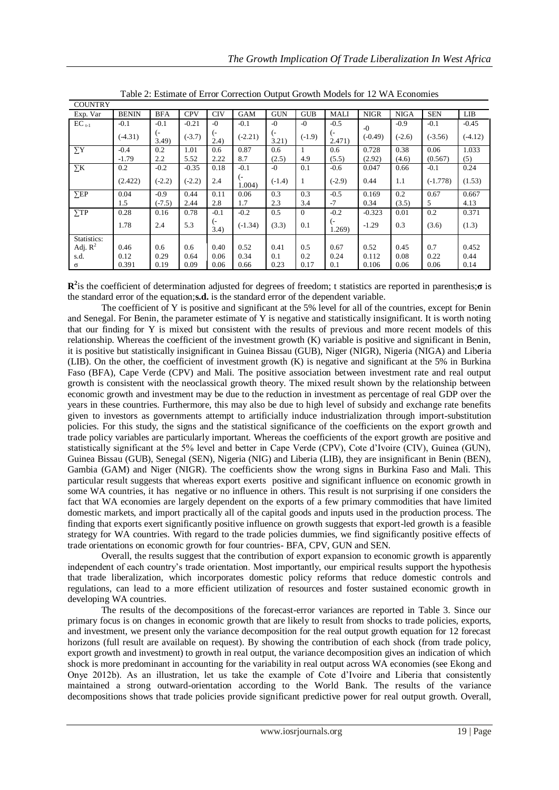| <b>COUNTRY</b> |              |            |            |             |                 |             |                |                                    |             |             |            |           |
|----------------|--------------|------------|------------|-------------|-----------------|-------------|----------------|------------------------------------|-------------|-------------|------------|-----------|
| Exp. Var       | <b>BENIN</b> | <b>BFA</b> | <b>CPV</b> | <b>CIV</b>  | GAM             | <b>GUN</b>  | <b>GUB</b>     | MALI                               | <b>NIGR</b> | <b>NIGA</b> | <b>SEN</b> | LIB       |
| $EC_{t-1}$     | $-0.1$       | $-0.1$     | $-0.21$    | $-0$        | $-0.1$          | $-0$        | $-0$           | $-0.5$                             | $-0$        | $-0.9$      | $-0.1$     | $-0.45$   |
|                | $(-4.31)$    | (-<br>3.49 | $(-3.7)$   | (-<br>(2.4) | $(-2.21)$       | (-<br>3.21) | $(-1.9)$       | (-<br>2.471)                       | $(-0.49)$   | $(-2.6)$    | $(-3.56)$  | $(-4.12)$ |
| $\sum Y$       | $-0.4$       | 0.2        | 1.01       | 0.6         | 0.87            | 0.6         |                | 0.6                                | 0.728       | 0.38        | 0.06       | 1.033     |
|                | $-1.79$      | 2.2        | 5.52       | 2.22        | 8.7             | (2.5)       | 4.9            | (5.5)                              | (2.92)      | (4.6)       | (0.567)    | (5)       |
| $\Sigma K$     | 0.2          | $-0.2$     | $-0.35$    | 0.18        | $-0.1$          | $-0$        | 0.1            | $-0.6$                             | 0.047       | 0.66        | $-0.1$     | 0.24      |
|                | (2.422)      | $(-2.2)$   | $(-2.2)$   | 2.4         | $( -$<br>1.004) | $(-1.4)$    |                | $(-2.9)$                           | 0.44        | 1.1         | $(-1.778)$ | (1.53)    |
| $\Sigma$ EP    | 0.04         | $-0.9$     | 0.44       | 0.11        | 0.06            | 0.3         | 0.3            | $-0.5$                             | 0.169       | 0.2         | 0.67       | 0.667     |
|                | 1.5          | $(-7.5)$   | 2.44       | 2.8         | 1.7             | 2.3         | 3.4            | $-7$                               | 0.34        | (3.5)       | 5.         | 4.13      |
| $\Sigma$ TP    | 0.28         | 0.16       | 0.78       | $-0.1$      | $-0.2$          | 0.5         | $\overline{0}$ | $-0.2$                             | $-0.323$    | 0.01        | 0.2        | 0.371     |
|                | 1.78         | 2.4        | 5.3        | (-<br>3.4)  | $(-1.34)$       | (3.3)       | 0.1            | $\overline{\phantom{a}}$<br>1.269) | $-1.29$     | 0.3         | (3.6)      | (1.3)     |
| Statistics:    |              |            |            |             |                 |             |                |                                    |             |             |            |           |
| Adj. $R^2$     | 0.46         | 0.6        | 0.6        | 0.40        | 0.52            | 0.41        | 0.5            | 0.67                               | 0.52        | 0.45        | 0.7        | 0.452     |
| s.d.           | 0.12         | 0.29       | 0.64       | 0.06        | 0.34            | 0.1         | 0.2            | 0.24                               | 0.112       | 0.08        | 0.22       | 0.44      |
| σ              | 0.391        | 0.19       | 0.09       | 0.06        | 0.66            | 0.23        | 0.17           | 0.1                                | 0.106       | 0.06        | 0.06       | 0.14      |

Table 2: Estimate of Error Correction Output Growth Models for 12 WA Economies

**R 2** is the coefficient of determination adjusted for degrees of freedom; t statistics are reported in parenthesis;**σ** is the standard error of the equation;**s.d.** is the standard error of the dependent variable.

The coefficient of Y is positive and significant at the 5% level for all of the countries, except for Benin and Senegal. For Benin, the parameter estimate of Y is negative and statistically insignificant. It is worth noting that our finding for Y is mixed but consistent with the results of previous and more recent models of this relationship. Whereas the coefficient of the investment growth (K) variable is positive and significant in Benin, it is positive but statistically insignificant in Guinea Bissau (GUB), Niger (NIGR), Nigeria (NIGA) and Liberia (LIB). On the other, the coefficient of investment growth (K) is negative and significant at the 5% in Burkina Faso (BFA), Cape Verde (CPV) and Mali. The positive association between investment rate and real output growth is consistent with the neoclassical growth theory. The mixed result shown by the relationship between economic growth and investment may be due to the reduction in investment as percentage of real GDP over the years in these countries. Furthermore, this may also be due to high level of subsidy and exchange rate benefits given to investors as governments attempt to artificially induce industrialization through import-substitution policies. For this study, the signs and the statistical significance of the coefficients on the export growth and trade policy variables are particularly important. Whereas the coefficients of the export growth are positive and statistically significant at the 5% level and better in Cape Verde (CPV), Cote d'Ivoire (CIV), Guinea (GUN), Guinea Bissau (GUB), Senegal (SEN), Nigeria (NIG) and Liberia (LIB), they are insignificant in Benin (BEN), Gambia (GAM) and Niger (NIGR). The coefficients show the wrong signs in Burkina Faso and Mali. This particular result suggests that whereas export exerts positive and significant influence on economic growth in some WA countries, it has negative or no influence in others. This result is not surprising if one considers the fact that WA economies are largely dependent on the exports of a few primary commodities that have limited domestic markets, and import practically all of the capital goods and inputs used in the production process. The finding that exports exert significantly positive influence on growth suggests that export-led growth is a feasible strategy for WA countries. With regard to the trade policies dummies, we find significantly positive effects of trade orientations on economic growth for four countries- BFA, CPV, GUN and SEN.

Overall, the results suggest that the contribution of export expansion to economic growth is apparently independent of each country's trade orientation. Most importantly, our empirical results support the hypothesis that trade liberalization, which incorporates domestic policy reforms that reduce domestic controls and regulations, can lead to a more efficient utilization of resources and foster sustained economic growth in developing WA countries.

The results of the decompositions of the forecast-error variances are reported in Table 3. Since our primary focus is on changes in economic growth that are likely to result from shocks to trade policies, exports, and investment, we present only the variance decomposition for the real output growth equation for 12 forecast horizons (full result are available on request). By showing the contribution of each shock (from trade policy, export growth and investment) to growth in real output, the variance decomposition gives an indication of which shock is more predominant in accounting for the variability in real output across WA economies (see Ekong and Onye 2012b). As an illustration, let us take the example of Cote d'Ivoire and Liberia that consistently maintained a strong outward-orientation according to the World Bank. The results of the variance decompositions shows that trade policies provide significant predictive power for real output growth. Overall,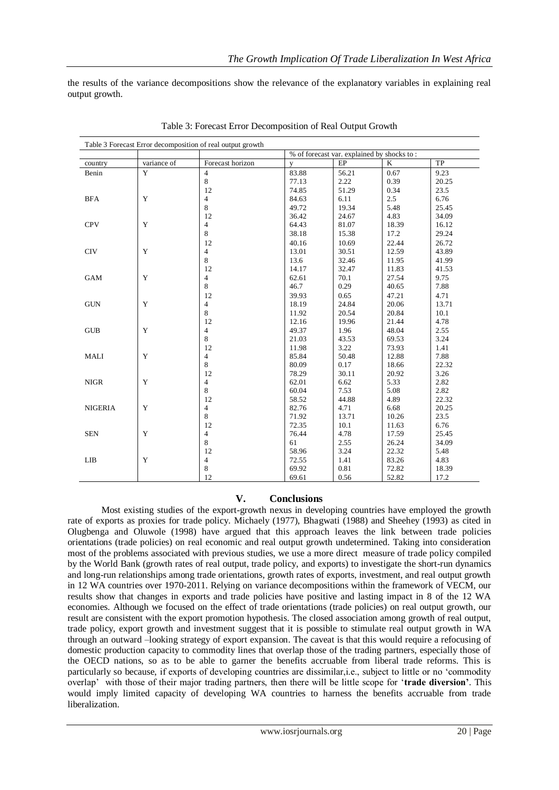the results of the variance decompositions show the relevance of the explanatory variables in explaining real output growth.

| Table 3 Forecast Error decomposition of real output growth |             |                  |                                            |       |       |       |  |  |
|------------------------------------------------------------|-------------|------------------|--------------------------------------------|-------|-------|-------|--|--|
|                                                            |             |                  | % of forecast var. explained by shocks to: |       |       |       |  |  |
| country                                                    | variance of | Forecast horizon | $\mathbf{V}$                               | EP    | K     | TP    |  |  |
| Benin                                                      | Y           | $\overline{4}$   | 83.88                                      | 56.21 | 0.67  | 9.23  |  |  |
|                                                            |             | 8                | 77.13                                      | 2.22  | 0.39  | 20.25 |  |  |
|                                                            |             | 12               | 74.85                                      | 51.29 | 0.34  | 23.5  |  |  |
| <b>BFA</b>                                                 | Y           | 4                | 84.63                                      | 6.11  | 2.5   | 6.76  |  |  |
|                                                            |             | 8                | 49.72                                      | 19.34 | 5.48  | 25.45 |  |  |
|                                                            |             | 12               | 36.42                                      | 24.67 | 4.83  | 34.09 |  |  |
| <b>CPV</b>                                                 | Y           | 4                | 64.43                                      | 81.07 | 18.39 | 16.12 |  |  |
|                                                            |             | 8                | 38.18                                      | 15.38 | 17.2  | 29.24 |  |  |
|                                                            |             | 12               | 40.16                                      | 10.69 | 22.44 | 26.72 |  |  |
| <b>CIV</b>                                                 | Y           | 4                | 13.01                                      | 30.51 | 12.59 | 43.89 |  |  |
|                                                            |             | 8                | 13.6                                       | 32.46 | 11.95 | 41.99 |  |  |
|                                                            |             | 12               | 14.17                                      | 32.47 | 11.83 | 41.53 |  |  |
| GAM                                                        | Y           | 4                | 62.61                                      | 70.1  | 27.54 | 9.75  |  |  |
|                                                            |             | 8                | 46.7                                       | 0.29  | 40.65 | 7.88  |  |  |
|                                                            |             | 12               | 39.93                                      | 0.65  | 47.21 | 4.71  |  |  |
| <b>GUN</b>                                                 | Y           | 4                | 18.19                                      | 24.84 | 20.06 | 13.71 |  |  |
|                                                            |             | 8                | 11.92                                      | 20.54 | 20.84 | 10.1  |  |  |
|                                                            |             | 12               | 12.16                                      | 19.96 | 21.44 | 4.78  |  |  |
| <b>GUB</b>                                                 | Y           | 4                | 49.37                                      | 1.96  | 48.04 | 2.55  |  |  |
|                                                            |             | 8                | 21.03                                      | 43.53 | 69.53 | 3.24  |  |  |
|                                                            |             | 12               | 11.98                                      | 3.22  | 73.93 | 1.41  |  |  |
| MALI                                                       | Y           | 4                | 85.84                                      | 50.48 | 12.88 | 7.88  |  |  |
|                                                            |             | 8                | 80.09                                      | 0.17  | 18.66 | 22.32 |  |  |
|                                                            |             | 12               | 78.29                                      | 30.11 | 20.92 | 3.26  |  |  |
| <b>NIGR</b>                                                | Y           | 4                | 62.01                                      | 6.62  | 5.33  | 2.82  |  |  |
|                                                            |             | 8                | 60.04                                      | 7.53  | 5.08  | 2.82  |  |  |
|                                                            |             | 12               | 58.52                                      | 44.88 | 4.89  | 22.32 |  |  |
| <b>NIGERIA</b>                                             | Y           | 4                | 82.76                                      | 4.71  | 6.68  | 20.25 |  |  |
|                                                            |             | 8                | 71.92                                      | 13.71 | 10.26 | 23.5  |  |  |
|                                                            |             | 12               | 72.35                                      | 10.1  | 11.63 | 6.76  |  |  |
| <b>SEN</b>                                                 | Y           | 4                | 76.44                                      | 4.78  | 17.59 | 25.45 |  |  |
|                                                            |             | 8                | 61                                         | 2.55  | 26.24 | 34.09 |  |  |
|                                                            |             | 12               | 58.96                                      | 3.24  | 22.32 | 5.48  |  |  |
| LIB                                                        | Y           | 4                | 72.55                                      | 1.41  | 83.26 | 4.83  |  |  |
|                                                            |             | 8                | 69.92                                      | 0.81  | 72.82 | 18.39 |  |  |
|                                                            |             | 12               | 69.61                                      | 0.56  | 52.82 | 17.2  |  |  |

Table 3: Forecast Error Decomposition of Real Output Growth

### **V. Conclusions**

Most existing studies of the export-growth nexus in developing countries have employed the growth rate of exports as proxies for trade policy. Michaely (1977), Bhagwati (1988) and Sheehey (1993) as cited in Olugbenga and Oluwole (1998) have argued that this approach leaves the link between trade policies orientations (trade policies) on real economic and real output growth undetermined. Taking into consideration most of the problems associated with previous studies, we use a more direct measure of trade policy compiled by the World Bank (growth rates of real output, trade policy, and exports) to investigate the short-run dynamics and long-run relationships among trade orientations, growth rates of exports, investment, and real output growth in 12 WA countries over 1970-2011. Relying on variance decompositions within the framework of VECM, our results show that changes in exports and trade policies have positive and lasting impact in 8 of the 12 WA economies. Although we focused on the effect of trade orientations (trade policies) on real output growth, our result are consistent with the export promotion hypothesis. The closed association among growth of real output, trade policy, export growth and investment suggest that it is possible to stimulate real output growth in WA through an outward –looking strategy of export expansion. The caveat is that this would require a refocusing of domestic production capacity to commodity lines that overlap those of the trading partners, especially those of the OECD nations, so as to be able to garner the benefits accruable from liberal trade reforms. This is particularly so because, if exports of developing countries are dissimilar,i.e., subject to little or no 'commodity overlap' with those of their major trading partners, then there will be little scope for '**trade diversion'**. This would imply limited capacity of developing WA countries to harness the benefits accruable from trade liberalization.